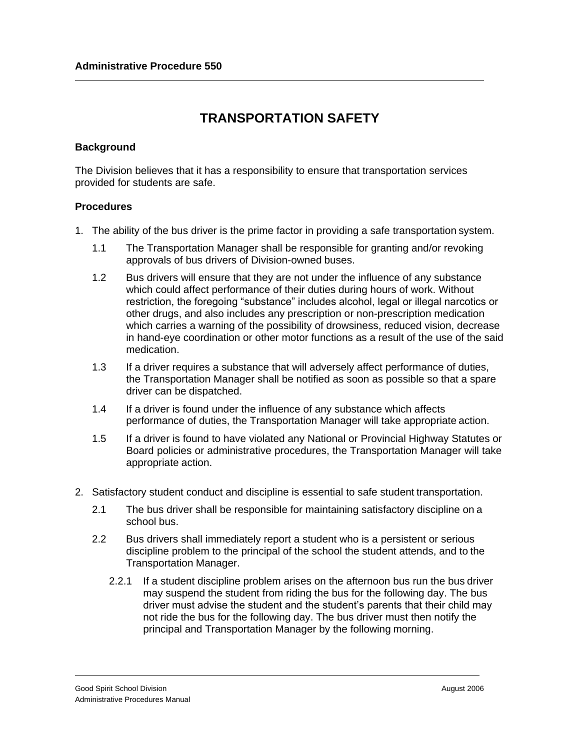## **TRANSPORTATION SAFETY**

## **Background**

The Division believes that it has a responsibility to ensure that transportation services provided for students are safe.

## **Procedures**

- 1. The ability of the bus driver is the prime factor in providing a safe transportation system.
	- 1.1 The Transportation Manager shall be responsible for granting and/or revoking approvals of bus drivers of Division-owned buses.
	- 1.2 Bus drivers will ensure that they are not under the influence of any substance which could affect performance of their duties during hours of work. Without restriction, the foregoing "substance" includes alcohol, legal or illegal narcotics or other drugs, and also includes any prescription or non-prescription medication which carries a warning of the possibility of drowsiness, reduced vision, decrease in hand-eye coordination or other motor functions as a result of the use of the said medication.
	- 1.3 If a driver requires a substance that will adversely affect performance of duties, the Transportation Manager shall be notified as soon as possible so that a spare driver can be dispatched.
	- 1.4 If a driver is found under the influence of any substance which affects performance of duties, the Transportation Manager will take appropriate action.
	- 1.5 If a driver is found to have violated any National or Provincial Highway Statutes or Board policies or administrative procedures, the Transportation Manager will take appropriate action.
- 2. Satisfactory student conduct and discipline is essential to safe student transportation.
	- 2.1 The bus driver shall be responsible for maintaining satisfactory discipline on a school bus.
	- 2.2 Bus drivers shall immediately report a student who is a persistent or serious discipline problem to the principal of the school the student attends, and to the Transportation Manager.
		- 2.2.1 If a student discipline problem arises on the afternoon bus run the bus driver may suspend the student from riding the bus for the following day. The bus driver must advise the student and the student's parents that their child may not ride the bus for the following day. The bus driver must then notify the principal and Transportation Manager by the following morning.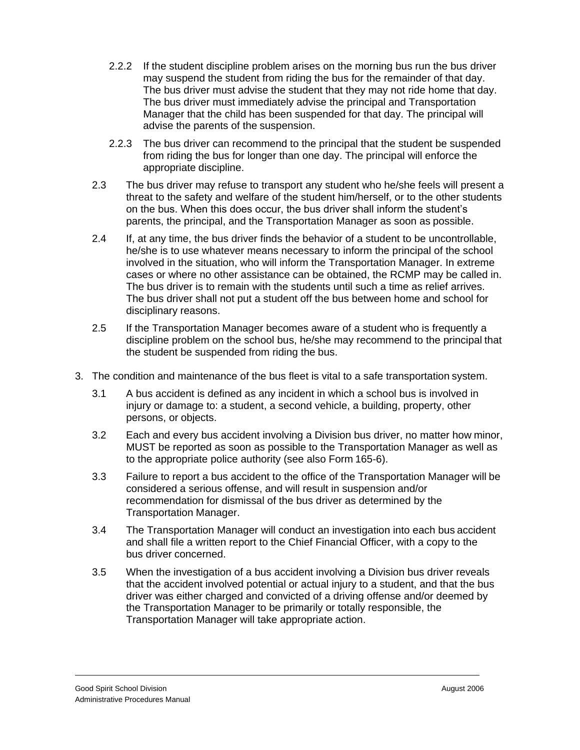- 2.2.2 If the student discipline problem arises on the morning bus run the bus driver may suspend the student from riding the bus for the remainder of that day. The bus driver must advise the student that they may not ride home that day. The bus driver must immediately advise the principal and Transportation Manager that the child has been suspended for that day. The principal will advise the parents of the suspension.
- 2.2.3 The bus driver can recommend to the principal that the student be suspended from riding the bus for longer than one day. The principal will enforce the appropriate discipline.
- 2.3 The bus driver may refuse to transport any student who he/she feels will present a threat to the safety and welfare of the student him/herself, or to the other students on the bus. When this does occur, the bus driver shall inform the student's parents, the principal, and the Transportation Manager as soon as possible.
- 2.4 If, at any time, the bus driver finds the behavior of a student to be uncontrollable, he/she is to use whatever means necessary to inform the principal of the school involved in the situation, who will inform the Transportation Manager. In extreme cases or where no other assistance can be obtained, the RCMP may be called in. The bus driver is to remain with the students until such a time as relief arrives. The bus driver shall not put a student off the bus between home and school for disciplinary reasons.
- 2.5 If the Transportation Manager becomes aware of a student who is frequently a discipline problem on the school bus, he/she may recommend to the principal that the student be suspended from riding the bus.
- 3. The condition and maintenance of the bus fleet is vital to a safe transportation system.
	- 3.1 A bus accident is defined as any incident in which a school bus is involved in injury or damage to: a student, a second vehicle, a building, property, other persons, or objects.
	- 3.2 Each and every bus accident involving a Division bus driver, no matter how minor, MUST be reported as soon as possible to the Transportation Manager as well as to the appropriate police authority (see also Form 165-6).
	- 3.3 Failure to report a bus accident to the office of the Transportation Manager will be considered a serious offense, and will result in suspension and/or recommendation for dismissal of the bus driver as determined by the Transportation Manager.
	- 3.4 The Transportation Manager will conduct an investigation into each bus accident and shall file a written report to the Chief Financial Officer, with a copy to the bus driver concerned.
	- 3.5 When the investigation of a bus accident involving a Division bus driver reveals that the accident involved potential or actual injury to a student, and that the bus driver was either charged and convicted of a driving offense and/or deemed by the Transportation Manager to be primarily or totally responsible, the Transportation Manager will take appropriate action.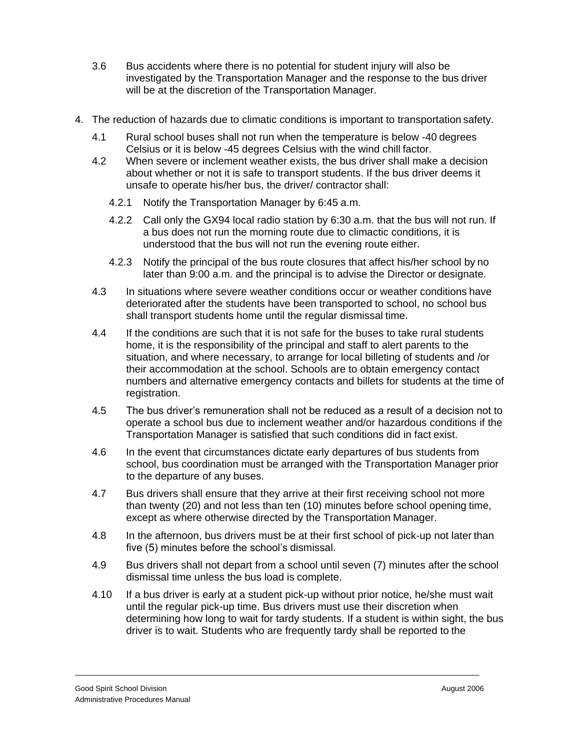- 3.6 Bus accidents where there is no potential for student injury will also be investigated by the Transportation Manager and the response to the bus driver will be at the discretion of the Transportation Manager.
- 4. The reduction of hazards due to climatic conditions is important to transportation safety.
	- 4.1 Rural school buses shall not run when the temperature is below -40 degrees Celsius or it is below -45 degrees Celsius with the wind chill factor.
	- 4.2 When severe or inclement weather exists, the bus driver shall make a decision about whether or not it is safe to transport students. If the bus driver deems it unsafe to operate his/her bus, the driver/ contractor shall:
		- 4.2.1 Notify the Transportation Manager by 6:45 a.m.
		- 4.2.2 Call only the GX94 local radio station by 6:30 a.m. that the bus will not run. If a bus does not run the morning route due to climactic conditions, it is understood that the bus will not run the evening route either.
		- 4.2.3 Notify the principal of the bus route closures that affect his/her school by no later than 9:00 a.m. and the principal is to advise the Director or designate.
	- 4.3 In situations where severe weather conditions occur or weather conditions have deteriorated after the students have been transported to school, no school bus shall transport students home until the regular dismissal time.
	- 4.4 If the conditions are such that it is not safe for the buses to take rural students home, it is the responsibility of the principal and staff to alert parents to the situation, and where necessary, to arrange for local billeting of students and /or their accommodation at the school. Schools are to obtain emergency contact numbers and alternative emergency contacts and billets for students at the time of registration.
	- 4.5 The bus driver's remuneration shall not be reduced as a result of a decision not to operate a school bus due to inclement weather and/or hazardous conditions if the Transportation Manager is satisfied that such conditions did in fact exist.
	- 4.6 In the event that circumstances dictate early departures of bus students from school, bus coordination must be arranged with the Transportation Manager prior to the departure of any buses.
	- 4.7 Bus drivers shall ensure that they arrive at their first receiving school not more than twenty (20) and not less than ten (10) minutes before school opening time, except as where otherwise directed by the Transportation Manager.
	- 4.8 In the afternoon, bus drivers must be at their first school of pick-up not later than five (5) minutes before the school's dismissal.
	- 4.9 Bus drivers shall not depart from a school until seven (7) minutes after the school dismissal time unless the bus load is complete.
	- 4.10 If a bus driver is early at a student pick-up without prior notice, he/she must wait until the regular pick-up time. Bus drivers must use their discretion when determining how long to wait for tardy students. If a student is within sight, the bus driver is to wait. Students who are frequently tardy shall be reported to the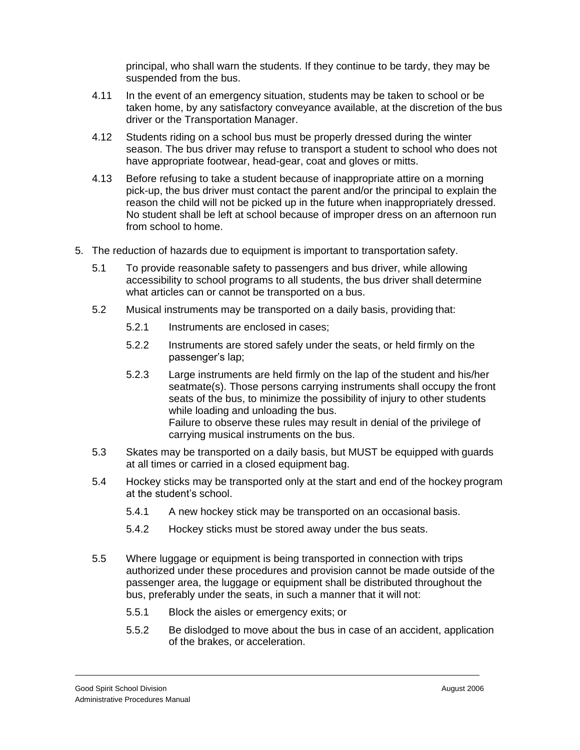principal, who shall warn the students. If they continue to be tardy, they may be suspended from the bus.

- 4.11 In the event of an emergency situation, students may be taken to school or be taken home, by any satisfactory conveyance available, at the discretion of the bus driver or the Transportation Manager.
- 4.12 Students riding on a school bus must be properly dressed during the winter season. The bus driver may refuse to transport a student to school who does not have appropriate footwear, head-gear, coat and gloves or mitts.
- 4.13 Before refusing to take a student because of inappropriate attire on a morning pick-up, the bus driver must contact the parent and/or the principal to explain the reason the child will not be picked up in the future when inappropriately dressed. No student shall be left at school because of improper dress on an afternoon run from school to home.
- 5. The reduction of hazards due to equipment is important to transportation safety.
	- 5.1 To provide reasonable safety to passengers and bus driver, while allowing accessibility to school programs to all students, the bus driver shall determine what articles can or cannot be transported on a bus.
	- 5.2 Musical instruments may be transported on a daily basis, providing that:
		- 5.2.1 Instruments are enclosed in cases;
		- 5.2.2 Instruments are stored safely under the seats, or held firmly on the passenger's lap;
		- 5.2.3 Large instruments are held firmly on the lap of the student and his/her seatmate(s). Those persons carrying instruments shall occupy the front seats of the bus, to minimize the possibility of injury to other students while loading and unloading the bus. Failure to observe these rules may result in denial of the privilege of carrying musical instruments on the bus.
	- 5.3 Skates may be transported on a daily basis, but MUST be equipped with guards at all times or carried in a closed equipment bag.
	- 5.4 Hockey sticks may be transported only at the start and end of the hockey program at the student's school.
		- 5.4.1 A new hockey stick may be transported on an occasional basis.
		- 5.4.2 Hockey sticks must be stored away under the bus seats.
	- 5.5 Where luggage or equipment is being transported in connection with trips authorized under these procedures and provision cannot be made outside of the passenger area, the luggage or equipment shall be distributed throughout the bus, preferably under the seats, in such a manner that it will not:
		- 5.5.1 Block the aisles or emergency exits; or
		- 5.5.2 Be dislodged to move about the bus in case of an accident, application of the brakes, or acceleration.